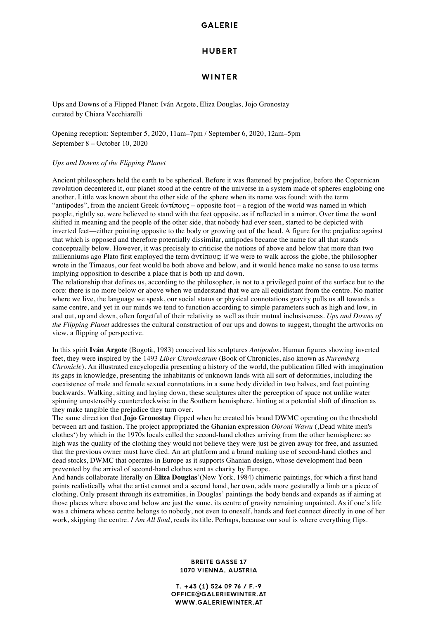# **GALERIE**

## **HUBERT**

# **WINTER**

Ups and Downs of a Flipped Planet: Iván Argote, Eliza Douglas, Jojo Gronostay curated by Chiara Vecchiarelli

Opening reception: September 5, 2020, 11am–7pm / September 6, 2020, 12am–5pm September 8 – October 10, 2020

#### *Ups and Downs of the Flipping Planet*

Ancient philosophers held the earth to be spherical. Before it was flattened by prejudice, before the Copernican revolution decentered it, our planet stood at the centre of the universe in a system made of spheres englobing one another. Little was known about the other side of the sphere when its name was found: with the term "antipodes", from the ancient Greek ἀντίπους – opposite foot – a region of the world was named in which people, rightly so, were believed to stand with the feet opposite, as if reflected in a mirror. Over time the word shifted in meaning and the people of the other side, that nobody had ever seen, started to be depicted with inverted feet―either pointing opposite to the body or growing out of the head. A figure for the prejudice against that which is opposed and therefore potentially dissimilar, antipodes became the name for all that stands conceptually below. However, it was precisely to criticise the notions of above and below that more than two millenniums ago Plato first employed the term ἀντίπους: if we were to walk across the globe, the philosopher wrote in the Timaeus, our feet would be both above and below, and it would hence make no sense to use terms implying opposition to describe a place that is both up and down.

The relationship that defines us, according to the philosopher, is not to a privileged point of the surface but to the core: there is no more below or above when we understand that we are all equidistant from the centre. No matter where we live, the language we speak, our social status or physical connotations gravity pulls us all towards a same centre, and yet in our minds we tend to function according to simple parameters such as high and low, in and out, up and down, often forgetful of their relativity as well as their mutual inclusiveness. *Ups and Downs of the Flipping Planet* addresses the cultural construction of our ups and downs to suggest, thought the artworks on view, a flipping of perspective.

In this spirit **Iván Argote** (Bogotà, 1983) conceived his sculptures *Antipodos*. Human figures showing inverted feet, they were inspired by the 1493 *Liber Chronicarum* (Book of Chronicles, also known as *Nuremberg Chronicle*). An illustrated encyclopedia presenting a history of the world, the publication filled with imagination its gaps in knowledge, presenting the inhabitants of unknown lands with all sort of deformities, including the coexistence of male and female sexual connotations in a same body divided in two halves, and feet pointing backwards. Walking, sitting and laying down, these sculptures alter the perception of space not unlike water spinning unostensibly counterclockwise in the Southern hemisphere, hinting at a potential shift of direction as they make tangible the prejudice they turn over.

The same direction that **Jojo Gronostay** flipped when he created his brand DWMC operating on the threshold between art and fashion. The project appropriated the Ghanian expression *Obroni Wawu* (, Dead white men's clothes') by which in the 1970s locals called the second-hand clothes arriving from the other hemisphere: so high was the quality of the clothing they would not believe they were just be given away for free, and assumed that the previous owner must have died. An art platform and a brand making use of second-hand clothes and dead stocks, DWMC that operates in Europe as it supports Ghanian design, whose development had been prevented by the arrival of second-hand clothes sent as charity by Europe.

And hands collaborate literally on **Eliza Douglas**'(New York, 1984) chimeric paintings, for which a first hand paints realistically what the artist cannot and a second hand, her own, adds more gesturally a limb or a piece of clothing. Only present through its extremities, in Douglas' paintings the body bends and expands as if aiming at those places where above and below are just the same, its centre of gravity remaining unpainted. As if one's life was a chimera whose centre belongs to nobody, not even to oneself, hands and feet connect directly in one of her work, skipping the centre. *I Am All Soul*, reads its title. Perhaps, because our soul is where everything flips.

### **BREITE GASSE 17 1070 VIENNA, AUSTRIA**

**T. +43 (1) 524 09 76 / F.-9 OFFICE@GALERIEWINTER.AT WWW.GALERIEWINTER.AT**